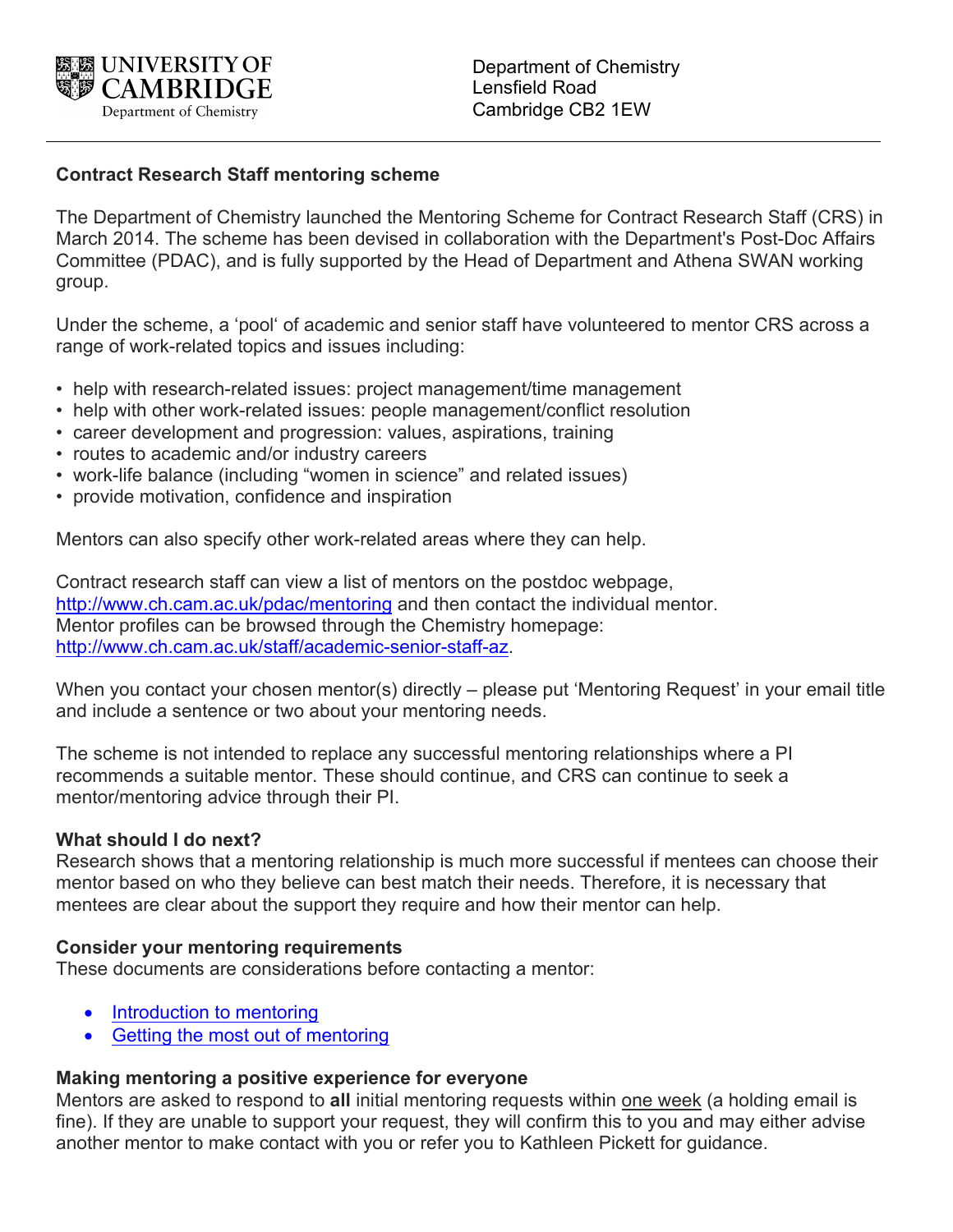

# **Contract Research Staff mentoring scheme**

The Department of Chemistry launched the Mentoring Scheme for Contract Research Staff (CRS) in March 2014. The scheme has been devised in collaboration with the Department's Post-Doc Affairs Committee (PDAC), and is fully supported by the Head of Department and Athena SWAN working group.

Under the scheme, a 'pool' of academic and senior staff have volunteered to mentor CRS across a range of work-related topics and issues including:

- help with research-related issues: project management/time management
- help with other work-related issues: people management/conflict resolution
- career development and progression: values, aspirations, training
- routes to academic and/or industry careers
- work-life balance (including "women in science" and related issues)
- provide motivation, confidence and inspiration

Mentors can also specify other work-related areas where they can help.

Contract research staff can view a list of mentors on the postdoc webpage, http://www.ch.cam.ac.uk/pdac/mentoring and then contact the individual mentor. Mentor profiles can be browsed through the Chemistry homepage: http://www.ch.cam.ac.uk/staff/academic-senior-staff-az.

When you contact your chosen mentor(s) directly – please put 'Mentoring Request' in your email title and include a sentence or two about your mentoring needs.

The scheme is not intended to replace any successful mentoring relationships where a PI recommends a suitable mentor. These should continue, and CRS can continue to seek a mentor/mentoring advice through their PI.

### **What should I do next?**

Research shows that a mentoring relationship is much more successful if mentees can choose their mentor based on who they believe can best match their needs. Therefore, it is necessary that mentees are clear about the support they require and how their mentor can help.

### **Consider your mentoring requirements**

These documents are considerations before contacting a mentor:

- Introduction to mentoring
- Getting the most out of mentoring

### **Making mentoring a positive experience for everyone**

Mentors are asked to respond to **all** initial mentoring requests within one week (a holding email is fine). If they are unable to support your request, they will confirm this to you and may either advise another mentor to make contact with you or refer you to Kathleen Pickett for guidance.